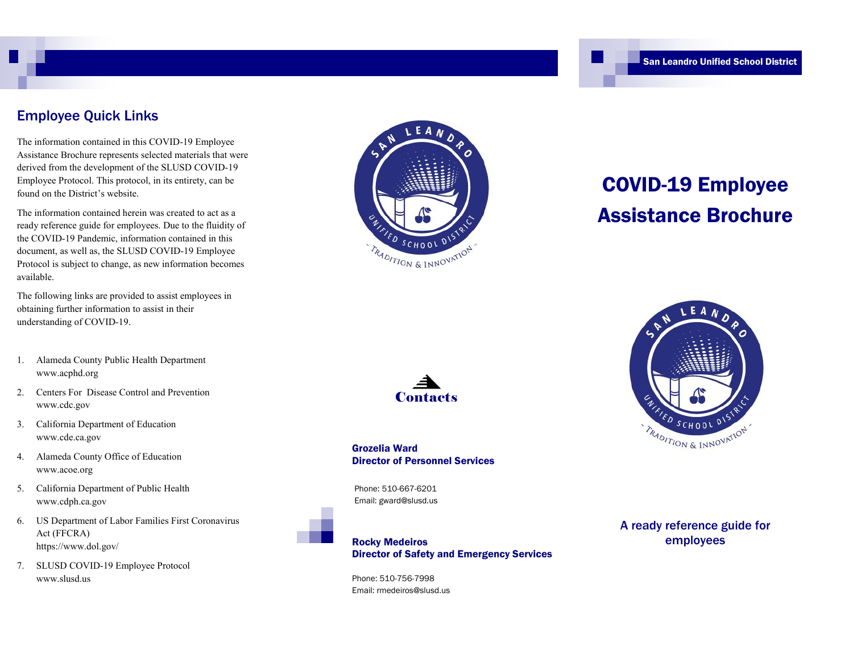#### Employee Quick Links

The information contained in this COVID-19 Employee Assistance Brochure represents selected materials that were derived from the development of the SLUSD COVID-19 Employee Protocol. This protocol, in its entirety, can be found on the District's website.

The information contained herein was created to act as a ready reference guide for employees. Due to the fluidity of the COVID-19 Pandemic, information contained in this document, as well as, the SLUSD COVID-19 Employee Protocol is subject to change, as new information becomes available.

The following links are provided to assist employees in obtaining further information to assist in their understanding of COVID-19.

- 1. Alameda County Public Health Department www.acphd.org
- 2. Centers For Disease Control and Prevention www.cdc.gov
- 3. California Department of Education www.cde.ca.gov
- 4. Alameda County Office of Education www.acoe.org
- 5. California Department of Public Health www.cdph.ca.gov
- 6. US Department of Labor Families First Coronavirus Act (FFCRA) https://www.dol.gov/
- 7. SLUSD COVID-19 Employee Protocol www.slusd.us



# COVID-19 Employee Assistance Brochure



Grozelia Ward Director of Personnel Services

Phone: 510-667-6201 Email: gward@slusd.us



Phone: 510-756-7998 Email: rmedeiros@slusd.us



A ready reference guide for employees